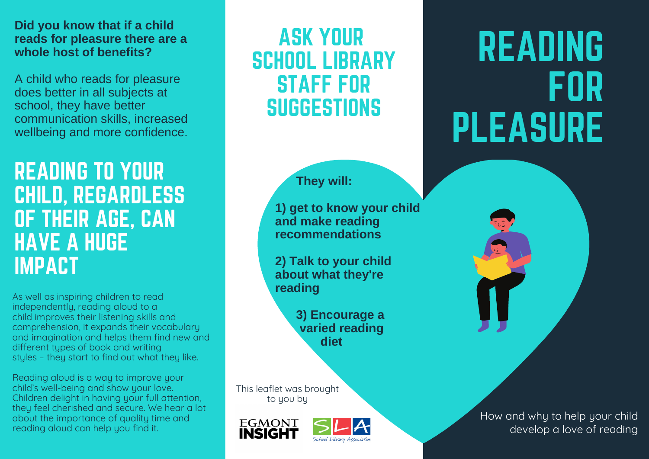#### **Did you know that if a child reads for pleasure there are a whole host of benefits?**

A child who reads for pleasure does better in all subjects at school, they have better communication skills, increased wellbeing and more confidence.

## READING TO YOUR CHILD, REGARDLESS OF THEIR AGE, CAN HAVE A HUGE IMPACT

As well as inspiring children to read independently, reading aloud to a child improves their listening skills and comprehension, it expands their vocabulary and imagination and helps them find new and different types of book and writing styles – they start to find out what they like.

Reading aloud is a way to improve your child's well-being and show your love. Children delight in having your full attention, they feel cherished and secure. We hear a lot about the importance of quality time and reading aloud can help you find it.

## ASK YOUR SCHOOL LIBRARY STAFF FOR **SUGGESTIONS**

#### **They will:**

**1) get to know your child and make reading recommendations**

**2) Talk to your child about what they're reading**

> **3) Encourage a varied reading diet**

This leaflet was brought to you by





# READING FOR PLEASURE

How and why to help your child develop a love of reading